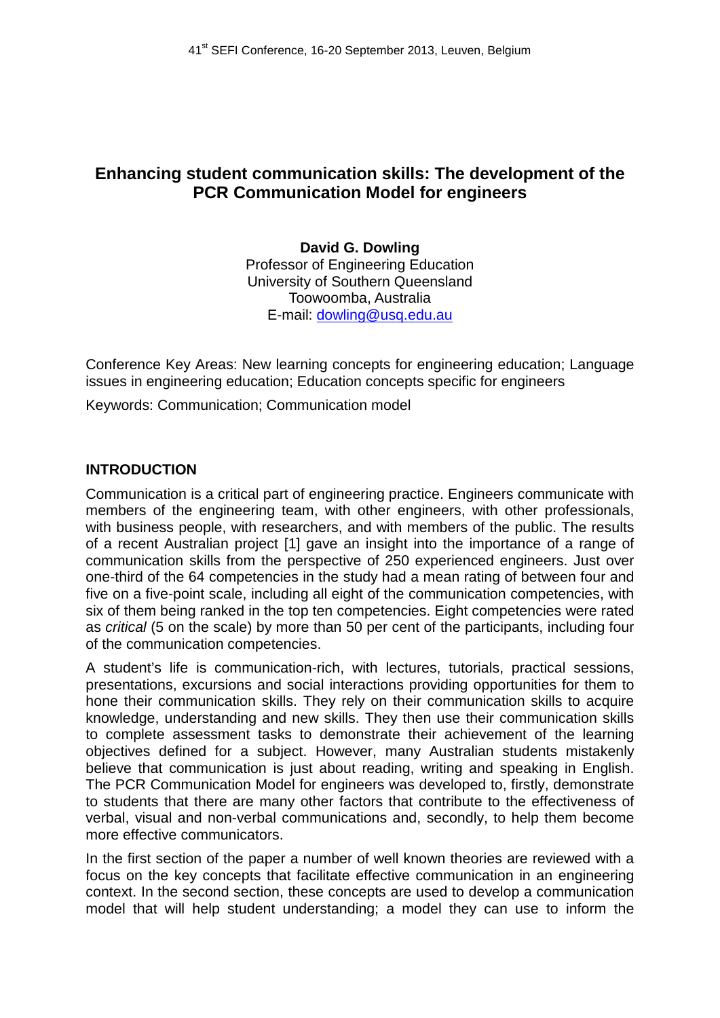# **Enhancing student communication skills: The development of the PCR Communication Model for engineers**

**David G. Dowling** Professor of Engineering Education University of Southern Queensland Toowoomba, Australia E-mail: dowling@usq.edu.au

Conference Key Areas: New learning concepts for engineering education; Language issues in engineering education; Education concepts specific for engineers

Keywords: Communication; Communication model

#### **INTRODUCTION**

Communication is a critical part of engineering practice. Engineers communicate with members of the engineering team, with other engineers, with other professionals, with business people, with researchers, and with members of the public. The results of a recent Australian project [1] gave an insight into the importance of a range of communication skills from the perspective of 250 experienced engineers. Just over one-third of the 64 competencies in the study had a mean rating of between four and five on a five-point scale, including all eight of the communication competencies, with six of them being ranked in the top ten competencies. Eight competencies were rated as *critical* (5 on the scale) by more than 50 per cent of the participants, including four of the communication competencies.

A student's life is communication-rich, with lectures, tutorials, practical sessions, presentations, excursions and social interactions providing opportunities for them to hone their communication skills. They rely on their communication skills to acquire knowledge, understanding and new skills. They then use their communication skills to complete assessment tasks to demonstrate their achievement of the learning objectives defined for a subject. However, many Australian students mistakenly believe that communication is just about reading, writing and speaking in English. The PCR Communication Model for engineers was developed to, firstly, demonstrate to students that there are many other factors that contribute to the effectiveness of verbal, visual and non-verbal communications and, secondly, to help them become more effective communicators.

In the first section of the paper a number of well known theories are reviewed with a focus on the key concepts that facilitate effective communication in an engineering context. In the second section, these concepts are used to develop a communication model that will help student understanding; a model they can use to inform the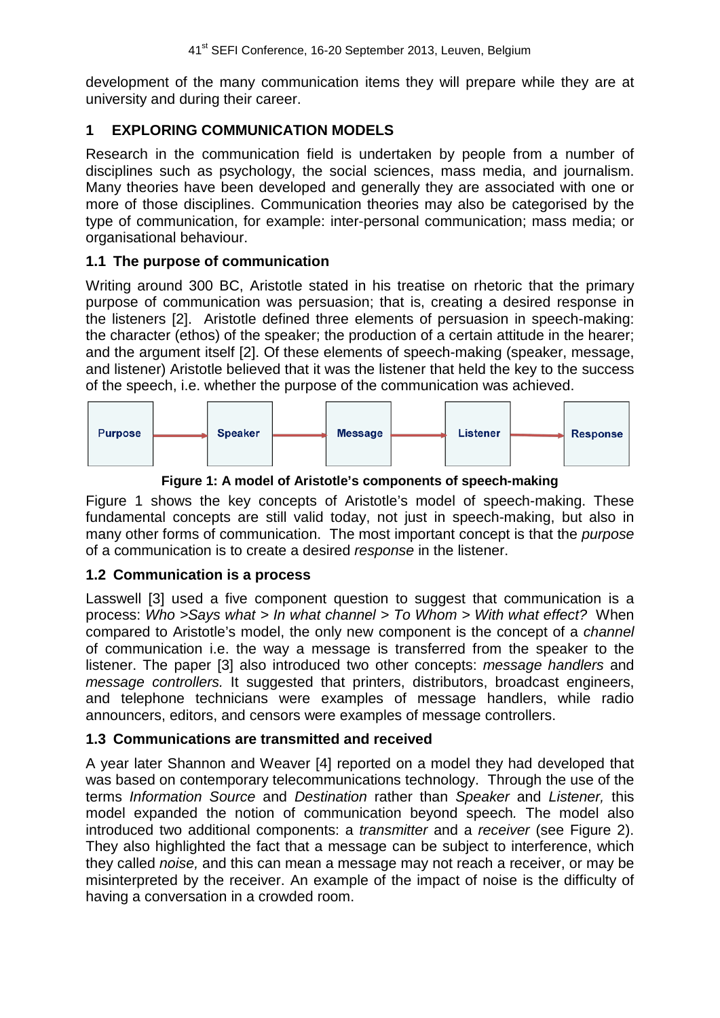development of the many communication items they will prepare while they are at university and during their career.

## **1 EXPLORING COMMUNICATION MODELS**

Research in the communication field is undertaken by people from a number of disciplines such as psychology, the social sciences, mass media, and journalism. Many theories have been developed and generally they are associated with one or more of those disciplines. Communication theories may also be categorised by the type of communication, for example: inter-personal communication; mass media; or organisational behaviour.

### **1.1 The purpose of communication**

Writing around 300 BC, Aristotle stated in his treatise on rhetoric that the primary purpose of communication was persuasion; that is, creating a desired response in the listeners [2]. Aristotle defined three elements of persuasion in speech-making: the character (ethos) of the speaker; the production of a certain attitude in the hearer; and the argument itself [2]. Of these elements of speech-making (speaker, message, and listener) Aristotle believed that it was the listener that held the key to the success of the speech, i.e. whether the purpose of the communication was achieved.



**Figure 1: A model of Aristotle's components of speech-making**

Figure 1 shows the key concepts of Aristotle's model of speech-making. These fundamental concepts are still valid today, not just in speech-making, but also in many other forms of communication. The most important concept is that the *purpose* of a communication is to create a desired *response* in the listener.

### **1.2 Communication is a process**

Lasswell [3] used a five component question to suggest that communication is a process: *Who >Says what > In what channel > To Whom > With what effect?* When compared to Aristotle's model, the only new component is the concept of a *channel* of communication i.e. the way a message is transferred from the speaker to the listener. The paper [3] also introduced two other concepts: *message handlers* and *message controllers.* It suggested that printers, distributors, broadcast engineers, and telephone technicians were examples of message handlers, while radio announcers, editors, and censors were examples of message controllers.

### **1.3 Communications are transmitted and received**

A year later Shannon and Weaver [4] reported on a model they had developed that was based on contemporary telecommunications technology. Through the use of the terms *Information Source* and *Destination* rather than *Speaker* and *Listener,* this model expanded the notion of communication beyond speech*.* The model also introduced two additional components: a *transmitter* and a *receiver* (see Figure 2). They also highlighted the fact that a message can be subject to interference, which they called *noise,* and this can mean a message may not reach a receiver, or may be misinterpreted by the receiver. An example of the impact of noise is the difficulty of having a conversation in a crowded room.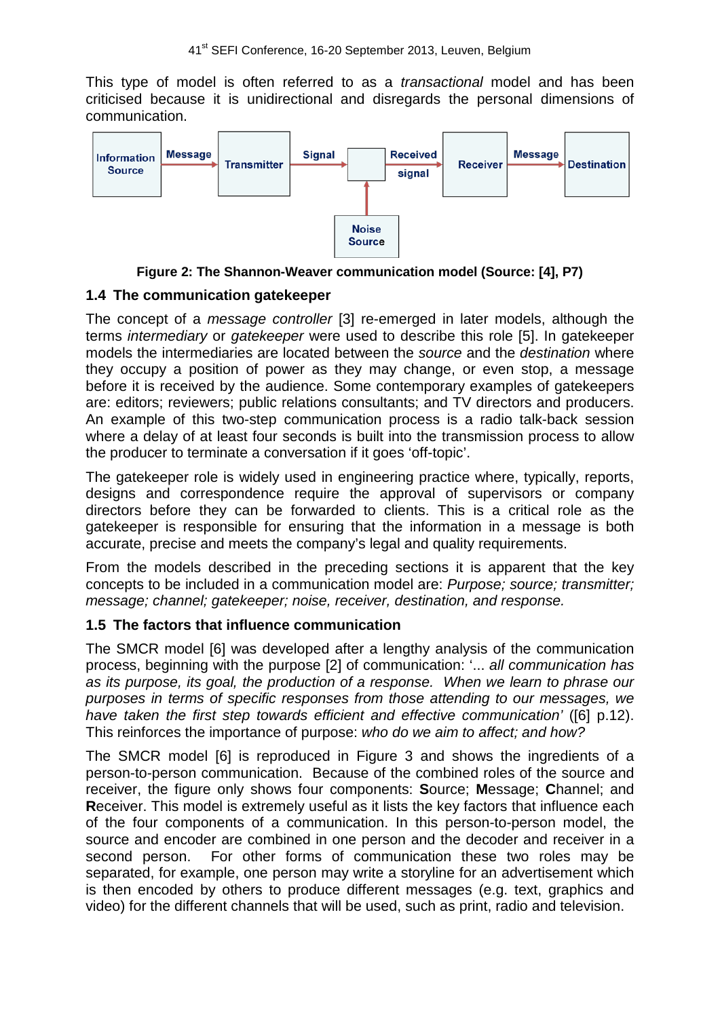This type of model is often referred to as a *transactional* model and has been criticised because it is unidirectional and disregards the personal dimensions of communication.



**Figure 2: The Shannon-Weaver communication model (Source: [4], P7)**

#### **1.4 The communication gatekeeper**

The concept of a *message controller* [3] re-emerged in later models, although the terms *intermediary* or *gatekeeper* were used to describe this role [5]. In gatekeeper models the intermediaries are located between the *source* and the *destination* where they occupy a position of power as they may change, or even stop, a message before it is received by the audience. Some contemporary examples of gatekeepers are: editors; reviewers; public relations consultants; and TV directors and producers. An example of this two-step communication process is a radio talk-back session where a delay of at least four seconds is built into the transmission process to allow the producer to terminate a conversation if it goes 'off-topic'.

The gatekeeper role is widely used in engineering practice where, typically, reports, designs and correspondence require the approval of supervisors or company directors before they can be forwarded to clients. This is a critical role as the gatekeeper is responsible for ensuring that the information in a message is both accurate, precise and meets the company's legal and quality requirements.

From the models described in the preceding sections it is apparent that the key concepts to be included in a communication model are: *Purpose; source; transmitter; message; channel; gatekeeper; noise, receiver, destination, and response.*

### **1.5 The factors that influence communication**

The SMCR model [6] was developed after a lengthy analysis of the communication process, beginning with the purpose [2] of communication: '... *all communication has as its purpose, its goal, the production of a response. When we learn to phrase our purposes in terms of specific responses from those attending to our messages, we have taken the first step towards efficient and effective communication'* ([6] p.12). This reinforces the importance of purpose: *who do we aim to affect; and how?*

The SMCR model [6] is reproduced in Figure 3 and shows the ingredients of a person-to-person communication. Because of the combined roles of the source and receiver, the figure only shows four components: **S**ource; **M**essage; **C**hannel; and **R**eceiver. This model is extremely useful as it lists the key factors that influence each of the four components of a communication. In this person-to-person model, the source and encoder are combined in one person and the decoder and receiver in a second person. For other forms of communication these two roles may be separated, for example, one person may write a storyline for an advertisement which is then encoded by others to produce different messages (e.g. text, graphics and video) for the different channels that will be used, such as print, radio and television.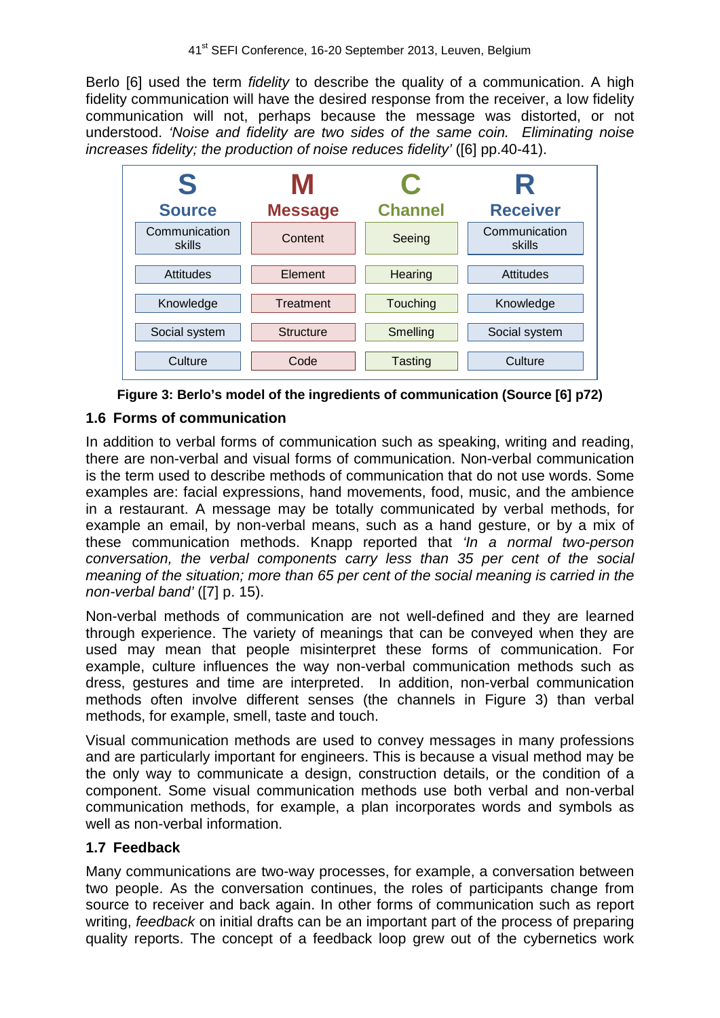Berlo [6] used the term *fidelity* to describe the quality of a communication. A high fidelity communication will have the desired response from the receiver, a low fidelity communication will not, perhaps because the message was distorted, or not understood. *'Noise and fidelity are two sides of the same coin. Eliminating noise increases fidelity; the production of noise reduces fidelity'* ([6] pp.40-41).





### **1.6 Forms of communication**

In addition to verbal forms of communication such as speaking, writing and reading, there are non-verbal and visual forms of communication. Non-verbal communication is the term used to describe methods of communication that do not use words. Some examples are: facial expressions, hand movements, food, music, and the ambience in a restaurant. A message may be totally communicated by verbal methods, for example an email, by non-verbal means, such as a hand gesture, or by a mix of these communication methods. Knapp reported that *'In a normal two-person conversation, the verbal components carry less than 35 per cent of the social meaning of the situation; more than 65 per cent of the social meaning is carried in the non-verbal band'* ([7] p. 15).

Non-verbal methods of communication are not well-defined and they are learned through experience. The variety of meanings that can be conveyed when they are used may mean that people misinterpret these forms of communication. For example, culture influences the way non-verbal communication methods such as dress, gestures and time are interpreted. In addition, non-verbal communication methods often involve different senses (the channels in Figure 3) than verbal methods, for example, smell, taste and touch.

Visual communication methods are used to convey messages in many professions and are particularly important for engineers. This is because a visual method may be the only way to communicate a design, construction details, or the condition of a component. Some visual communication methods use both verbal and non-verbal communication methods, for example, a plan incorporates words and symbols as well as non-verbal information.

### **1.7 Feedback**

Many communications are two-way processes, for example, a conversation between two people. As the conversation continues, the roles of participants change from source to receiver and back again. In other forms of communication such as report writing, *feedback* on initial drafts can be an important part of the process of preparing quality reports. The concept of a feedback loop grew out of the cybernetics work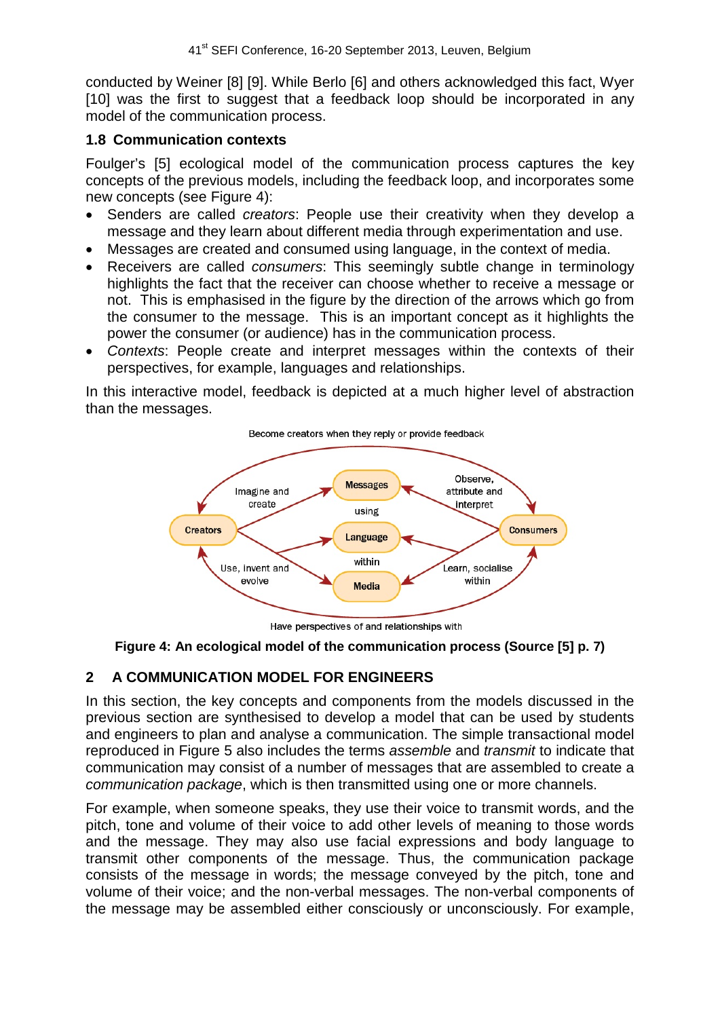conducted by Weiner [8] [9]. While Berlo [6] and others acknowledged this fact, Wyer [10] was the first to suggest that a feedback loop should be incorporated in any model of the communication process.

#### **1.8 Communication contexts**

Foulger's [5] ecological model of the communication process captures the key concepts of the previous models, including the feedback loop, and incorporates some new concepts (see Figure 4):

- Senders are called *creators*: People use their creativity when they develop a message and they learn about different media through experimentation and use.
- Messages are created and consumed using language, in the context of media.
- Receivers are called *consumers*: This seemingly subtle change in terminology highlights the fact that the receiver can choose whether to receive a message or not. This is emphasised in the figure by the direction of the arrows which go from the consumer to the message. This is an important concept as it highlights the power the consumer (or audience) has in the communication process.
- *Contexts*: People create and interpret messages within the contexts of their perspectives, for example, languages and relationships.

In this interactive model, feedback is depicted at a much higher level of abstraction than the messages.



Have perspectives of and relationships with

#### **Figure 4: An ecological model of the communication process (Source [5] p. 7)**

### **2 A COMMUNICATION MODEL FOR ENGINEERS**

In this section, the key concepts and components from the models discussed in the previous section are synthesised to develop a model that can be used by students and engineers to plan and analyse a communication. The simple transactional model reproduced in Figure 5 also includes the terms *assemble* and *transmit* to indicate that communication may consist of a number of messages that are assembled to create a *communication package*, which is then transmitted using one or more channels.

For example, when someone speaks, they use their voice to transmit words, and the pitch, tone and volume of their voice to add other levels of meaning to those words and the message. They may also use facial expressions and body language to transmit other components of the message. Thus, the communication package consists of the message in words; the message conveyed by the pitch, tone and volume of their voice; and the non-verbal messages. The non-verbal components of the message may be assembled either consciously or unconsciously. For example,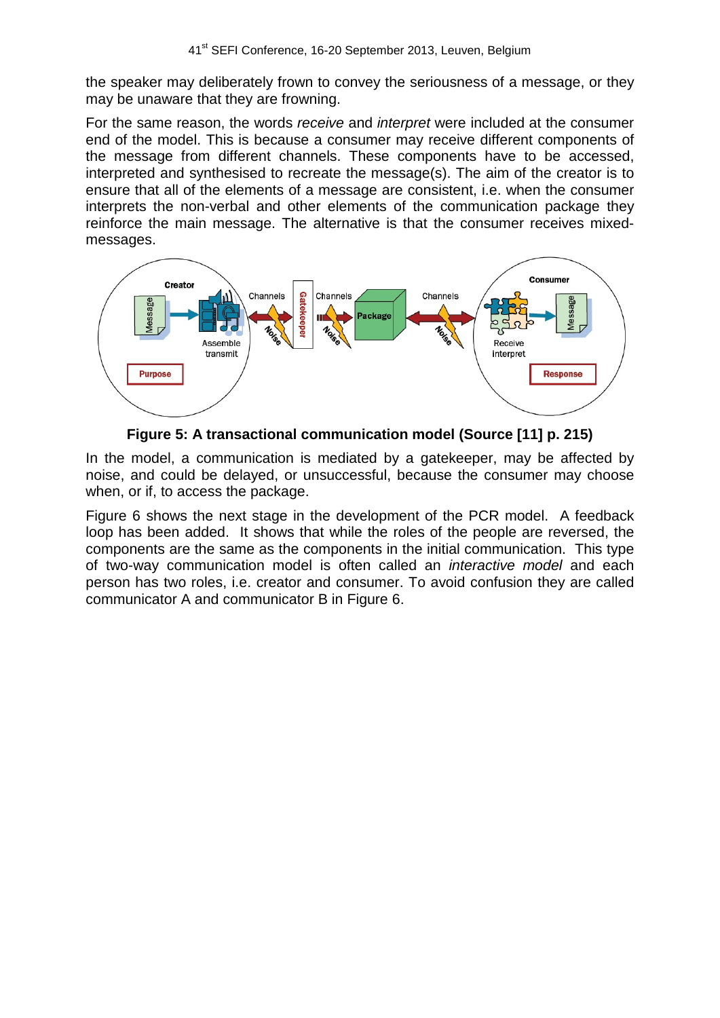the speaker may deliberately frown to convey the seriousness of a message, or they may be unaware that they are frowning.

For the same reason, the words *receive* and *interpret* were included at the consumer end of the model. This is because a consumer may receive different components of the message from different channels. These components have to be accessed, interpreted and synthesised to recreate the message(s). The aim of the creator is to ensure that all of the elements of a message are consistent, i.e. when the consumer interprets the non-verbal and other elements of the communication package they reinforce the main message. The alternative is that the consumer receives mixedmessages.



**Figure 5: A transactional communication model (Source [11] p. 215)**

In the model, a communication is mediated by a gatekeeper, may be affected by noise, and could be delayed, or unsuccessful, because the consumer may choose when, or if, to access the package.

Figure 6 shows the next stage in the development of the PCR model. A feedback loop has been added. It shows that while the roles of the people are reversed, the components are the same as the components in the initial communication. This type of two-way communication model is often called an *interactive model* and each person has two roles, i.e. creator and consumer. To avoid confusion they are called communicator A and communicator B in Figure 6.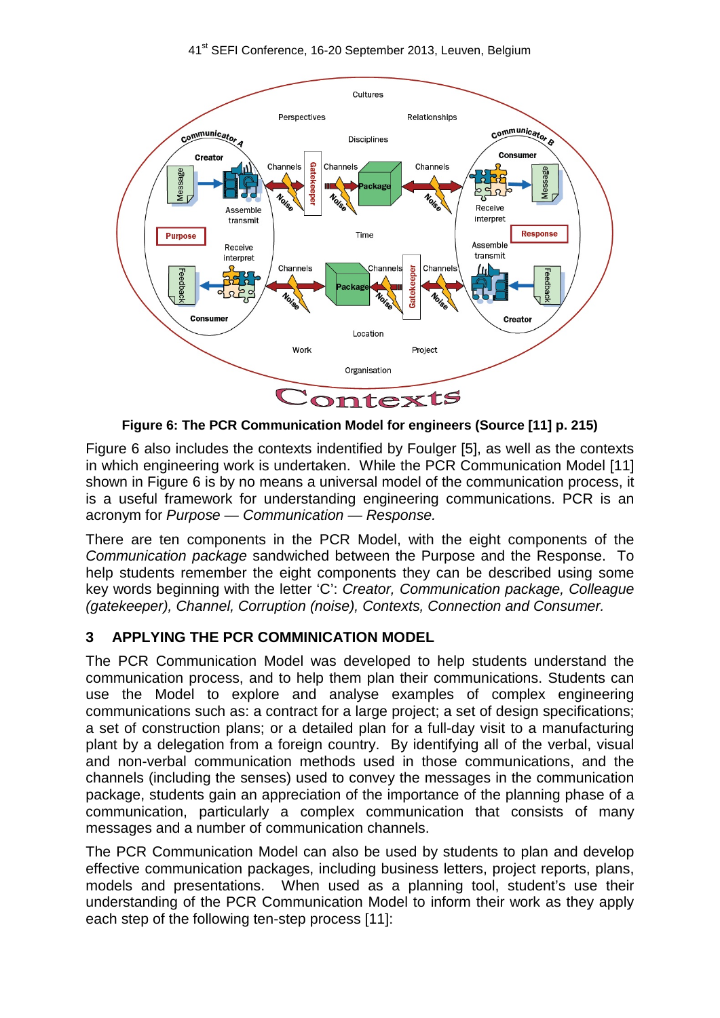

**Figure 6: The PCR Communication Model for engineers (Source [11] p. 215)**

Figure 6 also includes the contexts indentified by Foulger [5], as well as the contexts in which engineering work is undertaken. While the PCR Communication Model [11] shown in Figure 6 is by no means a universal model of the communication process, it is a useful framework for understanding engineering communications. PCR is an acronym for *Purpose — Communication — Response.*

There are ten components in the PCR Model, with the eight components of the *Communication package* sandwiched between the Purpose and the Response. To help students remember the eight components they can be described using some key words beginning with the letter 'C': *Creator, Communication package, Colleague (gatekeeper), Channel, Corruption (noise), Contexts, Connection and Consumer.* 

## **3 APPLYING THE PCR COMMINICATION MODEL**

The PCR Communication Model was developed to help students understand the communication process, and to help them plan their communications. Students can use the Model to explore and analyse examples of complex engineering communications such as: a contract for a large project; a set of design specifications; a set of construction plans; or a detailed plan for a full-day visit to a manufacturing plant by a delegation from a foreign country. By identifying all of the verbal, visual and non-verbal communication methods used in those communications, and the channels (including the senses) used to convey the messages in the communication package, students gain an appreciation of the importance of the planning phase of a communication, particularly a complex communication that consists of many messages and a number of communication channels.

The PCR Communication Model can also be used by students to plan and develop effective communication packages, including business letters, project reports, plans, models and presentations. When used as a planning tool, student's use their understanding of the PCR Communication Model to inform their work as they apply each step of the following ten-step process [11]: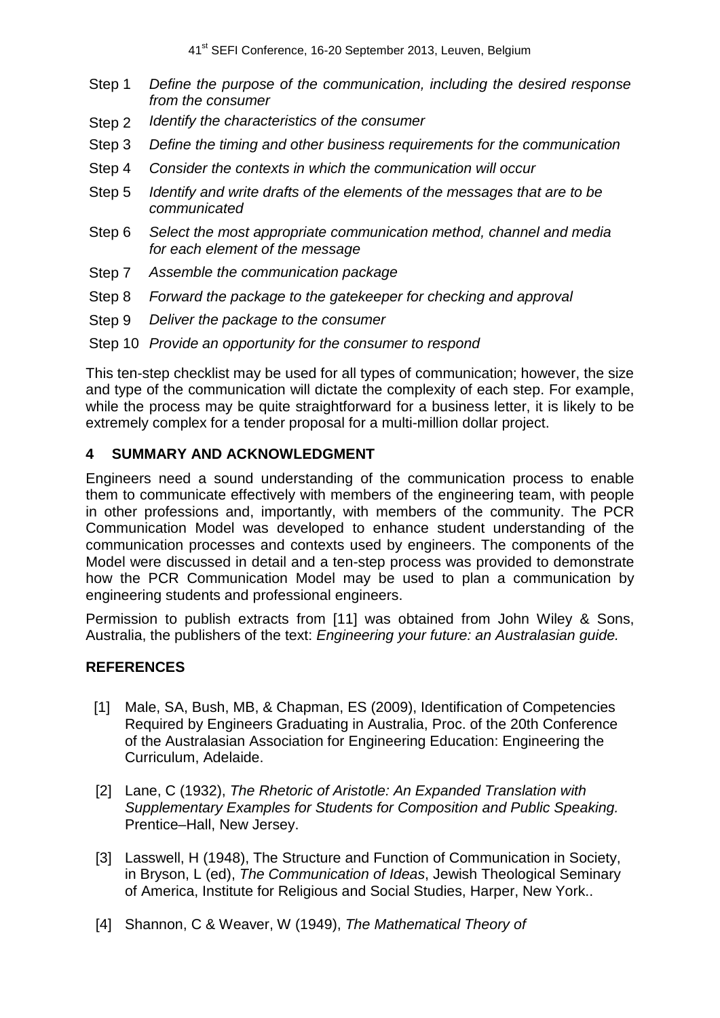41<sup>st</sup> SEFI Conference, 16-20 September 2013, Leuven, Belgium

- Step 1 *Define the purpose of the communication, including the desired response from the consumer*
- Step 2 *Identify the characteristics of the consumer*
- Step 3 *Define the timing and other business requirements for the communication*
- Step 4 *Consider the contexts in which the communication will occur*
- Step 5 *Identify and write drafts of the elements of the messages that are to be communicated*
- Step 6 *Select the most appropriate communication method, channel and media for each element of the message*
- Step 7 *Assemble the communication package*
- Step 8 *Forward the package to the gatekeeper for checking and approval*
- Step 9 *Deliver the package to the consumer*
- Step 10 *Provide an opportunity for the consumer to respond*

This ten-step checklist may be used for all types of communication; however, the size and type of the communication will dictate the complexity of each step. For example, while the process may be quite straightforward for a business letter, it is likely to be extremely complex for a tender proposal for a multi-million dollar project.

#### **4 SUMMARY AND ACKNOWLEDGMENT**

Engineers need a sound understanding of the communication process to enable them to communicate effectively with members of the engineering team, with people in other professions and, importantly, with members of the community. The PCR Communication Model was developed to enhance student understanding of the communication processes and contexts used by engineers. The components of the Model were discussed in detail and a ten-step process was provided to demonstrate how the PCR Communication Model may be used to plan a communication by engineering students and professional engineers.

Permission to publish extracts from [11] was obtained from John Wiley & Sons, Australia, the publishers of the text: *Engineering your future: an Australasian guide.*

### **REFERENCES**

- [1] Male, SA, Bush, MB, & Chapman, ES (2009), Identification of Competencies Required by Engineers Graduating in Australia, Proc. of the 20th Conference of the Australasian Association for Engineering Education: Engineering the Curriculum, Adelaide.
- [2] Lane, C (1932), *The Rhetoric of Aristotle: An Expanded Translation with Supplementary Examples for Students for Composition and Public Speaking.* Prentice–Hall, New Jersey.
- [3] Lasswell, H (1948), The Structure and Function of Communication in Society, in Bryson, L (ed), *The Communication of Ideas*, Jewish Theological Seminary of America, Institute for Religious and Social Studies, Harper, New York..
- [4] Shannon, C & Weaver, W (1949), *The Mathematical Theory of*